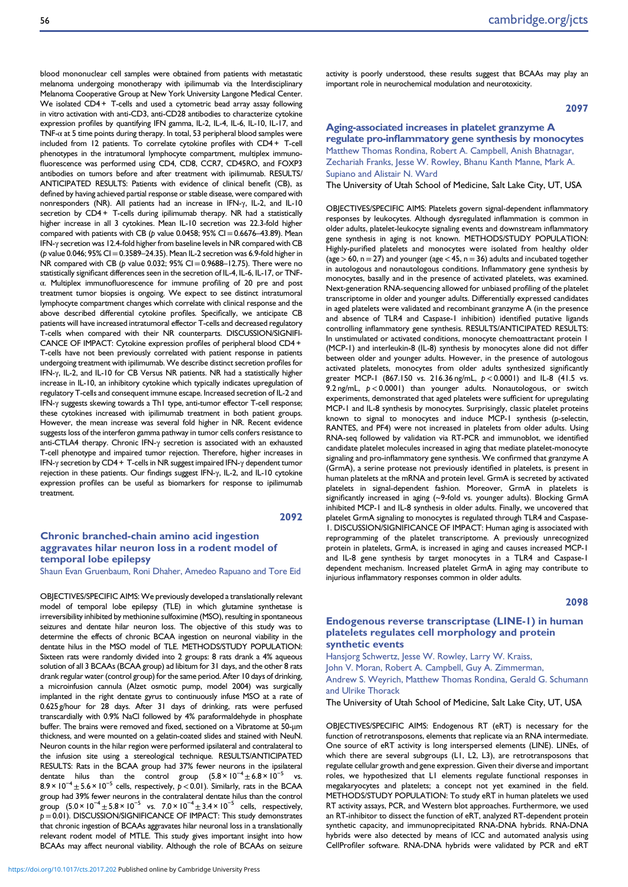blood mononuclear cell samples were obtained from patients with metastatic melanoma undergoing monotherapy with ipilimumab via the Interdisciplinary Melanoma Cooperative Group at New York University Langone Medical Center. We isolated CD4 + T-cells and used a cytometric bead array assay following in vitro activation with anti-CD3, anti-CD28 antibodies to characterize cytokine expression profiles by quantifying IFN gamma, IL-2, IL-4, IL-6, IL-10, IL-17, and TNF-α at 5 time points during therapy. In total, 53 peripheral blood samples were included from 12 patients. To correlate cytokine profiles with CD4 + T-cell phenotypes in the intratumoral lymphocyte compartment, multiplex immunofluorescence was performed using CD4, CD8, CCR7, CD45RO, and FOXP3 antibodies on tumors before and after treatment with ipilimumab. RESULTS/ ANTICIPATED RESULTS: Patients with evidence of clinical benefit (CB), as defined by having achieved partial response or stable disease, were compared with nonresponders (NR). All patients had an increase in IFN-γ, IL-2, and IL-10 secretion by CD4 + T-cells during ipilimumab therapy. NR had a statistically higher increase in all 3 cytokines. Mean IL-10 secretion was 22.3-fold higher compared with patients with CB (p value 0.0458;  $95\%$  CI = 0.6676–43.89). Mean IFN-γ secretion was 12.4-fold higher from baseline levels in NR compared with CB ( $p$  value 0.046; 95% CI = 0.3589–24.35). Mean IL-2 secretion was 6.9-fold higher in NR compared with CB ( $p$  value 0.032; 95% CI = 0.9688–12.75). There were no statistically significant differences seen in the secretion of IL-4, IL-6, IL-17, or TNFα. Multiplex immunofluorescence for immune profiling of 20 pre and post treatment tumor biopsies is ongoing. We expect to see distinct intratumoral lymphocyte compartment changes which correlate with clinical response and the above described differential cytokine profiles. Specifically, we anticipate CB patients will have increased intratumoral effector T-cells and decreased regulatory T-cells when compared with their NR counterparts. DISCUSSION/SIGNIFI-CANCE OF IMPACT: Cytokine expression profiles of peripheral blood CD4 + T-cells have not been previously correlated with patient response in patients undergoing treatment with ipilimumab. We describe distinct secretion profiles for IFN-γ, IL-2, and IL-10 for CB Versus NR patients. NR had a statistically higher increase in IL-10, an inhibitory cytokine which typically indicates upregulation of regulatory T-cells and consequent immune escape. Increased secretion of IL-2 and IFN-γ suggests skewing towards a Th1 type, anti-tumor effector T-cell response; these cytokines increased with ipilimumab treatment in both patient groups. However, the mean increase was several fold higher in NR. Recent evidence suggests loss of the interferon gamma pathway in tumor cells confers resistance to anti-CTLA4 therapy. Chronic IFN-γ secretion is associated with an exhausted T-cell phenotype and impaired tumor rejection. Therefore, higher increases in IFN-γ secretion by CD4 + T-cells in NR suggest impaired IFN-γ dependent tumor rejection in these patients. Our findings suggest IFN-γ, IL-2, and IL-10 cytokine expression profiles can be useful as biomarkers for response to ipilimumab treatment.

### 2092

# Chronic branched-chain amino acid ingestion aggravates hilar neuron loss in a rodent model of temporal lobe epilepsy

Shaun Evan Gruenbaum, Roni Dhaher, Amedeo Rapuano and Tore Eid

OBJECTIVES/SPECIFIC AIMS: We previously developed a translationally relevant model of temporal lobe epilepsy (TLE) in which glutamine synthetase is irreversibility inhibited by methionine sulfoximine (MSO), resulting in spontaneous seizures and dentate hilar neuron loss. The objective of this study was to determine the effects of chronic BCAA ingestion on neuronal viability in the dentate hilus in the MSO model of TLE. METHODS/STUDY POPULATION: Sixteen rats were randomly divided into 2 groups: 8 rats drank a 4% aqueous solution of all 3 BCAAs (BCAA group) ad libitum for 31 days, and the other 8 rats drank regular water (control group) for the same period. After 10 days of drinking, a microinfusion cannula (Alzet osmotic pump, model 2004) was surgically implanted in the right dentate gyrus to continuously infuse MSO at a rate of 0.625 g/hour for 28 days. After 31 days of drinking, rats were perfused transcardially with 0.9% NaCl followed by 4% paraformaldehyde in phosphate buffer. The brains were removed and fixed, sectioned on a Vibratome at 50-μm thickness, and were mounted on a gelatin-coated slides and stained with NeuN. Neuron counts in the hilar region were performed ipsilateral and contralateral to the infusion site using a stereological technique. RESULTS/ANTICIPATED RESULTS: Rats in the BCAA group had 37% fewer neurons in the ipsilateral dentate hilus than the control group  $(5.8 \times 10^{-4} \pm 6.8 \times 10^{-5}$  vs.  $8.9 \times 10^{-4} \pm 5.6 \times 10^{-5}$  cells, respectively,  $p < 0.01$ ). Similarly, rats in the BCAA group had 39% fewer neurons in the contralateral dentate hilus than the control group  $(5.0 \times 10^{-4} \pm 5.8 \times 10^{-5} \text{ vs. } 7.0 \times 10^{-4} \pm 3.4 \times 10^{-5} \text{ cells, respectively,}$  $p=0.01$ ). DISCUSSION/SIGNIFICANCE OF IMPACT: This study demonstrates that chronic ingestion of BCAAs aggravates hilar neuronal loss in a translationally relevant rodent model of MTLE. This study gives important insight into how BCAAs may affect neuronal viability. Although the role of BCAAs on seizure activity is poorly understood, these results suggest that BCAAs may play an important role in neurochemical modulation and neurotoxicity.

2097

# Aging-associated increases in platelet granzyme A regulate pro-inflammatory gene synthesis by monocytes Matthew Thomas Rondina, Robert A. Campbell, Anish Bhatnagar, Zechariah Franks, Jesse W. Rowley, Bhanu Kanth Manne, Mark A. Supiano and Alistair N. Ward

The University of Utah School of Medicine, Salt Lake City, UT, USA

OBJECTIVES/SPECIFIC AIMS: Platelets govern signal-dependent inflammatory responses by leukocytes. Although dysregulated inflammation is common in older adults, platelet-leukocyte signaling events and downstream inflammatory gene synthesis in aging is not known. METHODS/STUDY POPULATION: Highly-purified platelets and monocytes were isolated from healthy older (age  $>$  60, n = 27) and younger (age  $<$  45, n = 36) adults and incubated together in autologous and nonautologous conditions. Inflammatory gene synthesis by monocytes, basally and in the presence of activated platelets, was examined. Next-generation RNA-sequencing allowed for unbiased profiling of the platelet transcriptome in older and younger adults. Differentially expressed candidates in aged platelets were validated and recombinant granzyme A (in the presence and absence of TLR4 and Caspase-1 inhibition) identified putative ligands controlling inflammatory gene synthesis. RESULTS/ANTICIPATED RESULTS: In unstimulated or activated conditions, monocyte chemoattractant protein 1 (MCP-1) and interleukin-8 (IL-8) synthesis by monocytes alone did not differ between older and younger adults. However, in the presence of autologous activated platelets, monocytes from older adults synthesized significantly greater MCP-1 (867.150 vs. 216.36 ng/mL,  $p < 0.0001$ ) and IL-8 (41.5 vs. 9.2 ng/mL,  $p < 0.0001$ ) than younger adults. Nonautologous, or switch experiments, demonstrated that aged platelets were sufficient for upregulating MCP-1 and IL-8 synthesis by monocytes. Surprisingly, classic platelet proteins known to signal to monocytes and induce MCP-1 synthesis (p-selectin, RANTES, and PF4) were not increased in platelets from older adults. Using RNA-seq followed by validation via RT-PCR and immunoblot, we identified candidate platelet molecules increased in aging that mediate platelet-monocyte signaling and pro-inflammatory gene synthesis. We confirmed that granzyme A (GrmA), a serine protease not previously identified in platelets, is present in human platelets at the mRNA and protein level. GrmA is secreted by activated platelets in signal-dependent fashion. Moreover, GrmA in platelets is significantly increased in aging (~9-fold vs. younger adults). Blocking GrmA inhibited MCP-1 and IL-8 synthesis in older adults. Finally, we uncovered that platelet GrmA signaling to monocytes is regulated through TLR4 and Caspase-1. DISCUSSION/SIGNIFICANCE OF IMPACT: Human aging is associated with reprogramming of the platelet transcriptome. A previously unrecognized protein in platelets, GrmA, is increased in aging and causes increased MCP-1 and IL-8 gene synthesis by target monocytes in a TLR4 and Caspase-1 dependent mechanism. Increased platelet GrmA in aging may contribute to injurious inflammatory responses common in older adults.

#### 2098

## Endogenous reverse transcriptase (LINE-1) in human platelets regulates cell morphology and protein synthetic events

Hansjorg Schwertz, Jesse W. Rowley, Larry W. Kraiss, John V. Moran, Robert A. Campbell, Guy A. Zimmerman, Andrew S. Weyrich, Matthew Thomas Rondina, Gerald G. Schumann and Ulrike Thorack

The University of Utah School of Medicine, Salt Lake City, UT, USA

OBJECTIVES/SPECIFIC AIMS: Endogenous RT (eRT) is necessary for the function of retrotransposons, elements that replicate via an RNA intermediate. One source of eRT activity is long interspersed elements (LINE). LINEs, of which there are several subgroups (L1, L2, L3), are retrotransposons that regulate cellular growth and gene expression. Given their diverse and important roles, we hypothesized that L1 elements regulate functional responses in megakaryocytes and platelets; a concept not yet examined in the field. METHODS/STUDY POPULATION: To study eRT in human platelets we used RT activity assays, PCR, and Western blot approaches. Furthermore, we used an RT-inhibitor to dissect the function of eRT, analyzed RT-dependent protein synthetic capacity, and immunoprecipitated RNA-DNA hybrids. RNA-DNA hybrids were also detected by means of ICC and automated analysis using CellProfiler software. RNA-DNA hybrids were validated by PCR and eRT